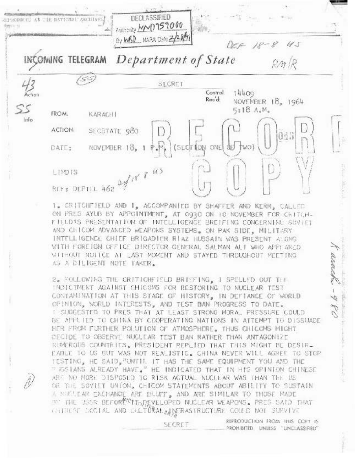

1. CRITCHFIELD AND 1, ACCOMPANIED BY SHAFFER AND KERR, CALLED ON PRES AYUB BY APPOINTMENT, AT 0930 ON 10 NOVEMBER FOR CRITCH-FIELD'S PRESENTATION OF INTELLIGENCE BREIFING CONCERNING SOVIET AND CHICOM ADVANCED WEAPONS SYSTEMS. ON PAK SIDE, MILITARY INTELLIGENCE CHIEF BRIGADIER RIAZ HUSSAIN WAS PRESENT ALONG WITH FOREIGN OFFICE DIRECTOR GENERAL SALMAN ALT WHO APPEARED WITHOUT NOTICE AT LAST MOMENT AND STAYED THROUGHOUT MEETING AS A DILIGENT NOTE TAKER.

2. FOLLOWING THE CRITICHFIELD BRIEFING, I SPELLED OUT THE INCICIMENT AGAINST CHICOMS FOR RESTORING TO NUCLEAR TEST CONTAMINATION AT THIS STAGE OF HISTORY, IN DEFIANCE OF WORLD OPINION, WORLD INTERESTS, AND TEST BAN PROGRESS TO DATE. I SUGGESTED TO PRES THAT AT LEAST STRONG MORAL PRESSURE COULD BE APPUIED TO CHINA BY CCOPERATING NATIONS IN ATTEMPT TO DISSUADE HER FROM FURTHER POLUTION OF ATMOSPHERE. THUS CHICOMS MIGHT DECIDE TO OBSERVE NUCLEAR TEST BAN RATHER THAN ANTAGONIZE NUMEROUS COUNTRIES. PRESIDENT REPLIED THAT THIS MIGHT BE DESIR-CABLE TO US BUT WAS NOT REALISTIC. CHINA NEVER WILL AGREE TO STOP TESTING, HE SAID, "UNTIL IT HAS THE SAME EQUIPMENT YOU AND THE **FISSIANS ALREADY HAVE." HE INDICATED THAT IN HIS OPINION CHINESE** ARE NO MORE DISPOSED TO RISK ACTUAL NUCLEAR WAS THAN THE US OR THE SOVIET UNION, CHICOM STATEMENTS ABOUT ABILITY TO SUSTAIN A NICLEAR EXCHANGE ARE BLUFF, AND ARE STMILAR TO THOSE MADE TO THE USSR BEFORE THAT EVELOPED NUCLEAR WEAPONS. PRES SAID THAT GRINESE COSTAL AND COLTURAL MERASTRUCTURE COULD NOT SUFVIVE

SECRET

REPRODUCTION FROM THIS COFY IS PROHEITED UNLESS "UNCLASSIFIED"

arough -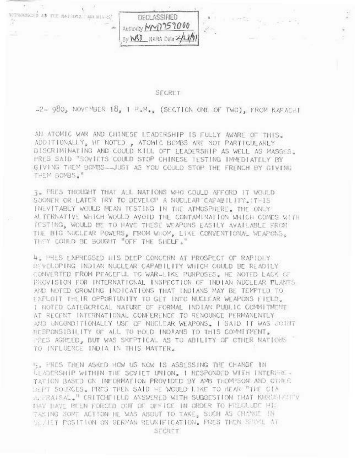

57

 $\geq 0$ 

#### SECRET

-2- 980, NOVEMBER 18, 1 P.M., (SECTION ONE OF TWO), FROM KARACHI

AN ATOMIC WAR AND CHINESE LEADERSHIP IS FULLY AWARE OF THIS. ADDITIONALLY, HE NOTED , ATOMIC BOMBS ARE NOT PARTICULARLY DISCRIMINATING AND COULD KILL OFF LEADERSHIP AS WELL AS MASSES. FRES SAID "SOVIETS COULD STOP CHINESE TESTING IMMEDIATELY BY GIVING THEM BOMBS ... JUST AS YOU COULD STOP THE FRENCH BY GIVING THEM BOMBS."

3. FRES THOUGHT THAT ALL NATIONS WHO COULD AFFORD IT WOULD SOONER OR LATER TRY TO DEVELOP A NUCLEAR CAPABILITY. IT-15 INEVITABLY WOULD MEAN TESTING IN THE ATMOSPHERE. THE ONLY ALTERNATIVE WHICH WOULD AVOID THE CONTAMINATION WHICH COMES WITH TESTING, WOULD BE TO HAVE THESE WEAPONS EASILY AVAILABLE FROM THE BIG NUCLEAR POWERS, FROM WHOM, LIKE CONVENTIONAL WEAPONS, THEY COULD BE BOUGHT "OFF THE SHELF."

4. PRES EXPRESSED HIS DEEP CONCERN AT PROSPECT OF RAPIDLY DEVELOPING INDIAN NUCLEAR CAPABILITY WHICH COULD BE READILY CONVERTED FROM PEACEFUL TO WAR-LIKE PURPOSES. HE NOTED LACK OF PROVISION FOR INTERNATIONAL INSPECTION OF INDIAN NUCLEAR FLANTS. AND NOTED GROWING INDICATIONS THAT INDIANS MAY BE TEMPTED TO EXPLOIT THEIR OPPORTUNITY TO GET INTO NUCLEAR WEAPONS FIELD. I NOTED CATEGORICAL NATURE OF FORMAL INDIAN PUBLIC COMMITMENT AT REGENT INTERNATIONAL CONFERENCE TO RENOUNCE PERMANENTLY AND UNCONDITIONALLY USE OF NUCLEAR WEAPONS. I SAID IT WAS JOINT RESPONSIBILITY OF ALL TO HOLD INDIANS TO THIS COMMITMENT. PRES AGREED, BUT WAS SKEPTICAL AS TO ABILITY OF CTHER NATIONS TO INFLUENCE INDIA IN THIS MATTER.

IS. FRES THEN ASKED HOW US NOW IS ASSESSING THE CHANGE IN LEADERSHIP WITHIN THE SCVIET UNION, I RESPONDED WITH INTERFRE-TATION BASED ON INFORMATION PROVIDED BY AMB THOMPSON AND CTHER DEPT SOURCES. PRES THEN SAID HE WOULD LIKE TO HEAR "THE CIA ALTRAISAL." CRITCHFIELD ANSWERED WITH SUGGESTION THAT KHRUSHETTY HAY HAVE BEEN FORCED OUT OF OFFICE IN ORDER TO FREGULDE HILL TAKING SOME ACTION HE WAS ABOUT TO TAKE, SUCH AS CHANCE IN WE ALL FOSITION ON GERMAN REUNIFICATION. PRES THEN SPORE AT SECRET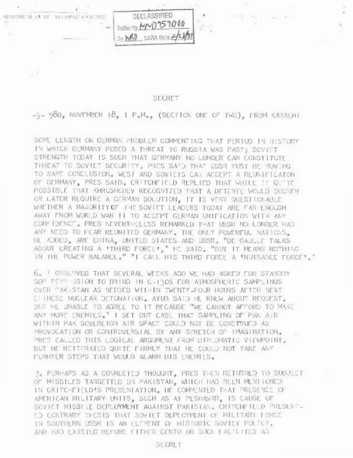

### **SECRET**

 $\pm$ 

-3- 980, NOVEMBER 18, 1 P.M., (SECTION ONE OF TWO), FROM KARACHI

SOME LENGTH ON GERMAN FROBLEM COMMENTING THAT FERIOD IN HISTORY IN WHICH GERMANY POSED A THREAT TO RUSSIA WAS PAST; SOVIET STRENGTH TODAY IS SUCH THAT GERMANY NO LONGER CAN CONSTITUTE THREAT TO SOVIET SECURITY, PRES SAID THAT USSR MUST BE MOVING TO SAME CONCLUSION, WEST AND SOVIETS CAR ACCEPT A REUNIFICATON OF GERMANY, PRES SAID, CRITCHFIELD REPLIED THAT WHILE IT GUTTE POSSIBLE THAT KHRUSHCHEV RECOGNIZED THAT A DETENTE WOULD SOONER OR LATER REQUIRE A GERMAN SOLUTION, IT IS VERY QUESTICAAULE WHETHER A MAJORITY OF THE SOVIET LEADERS TODAY ARE FAR ENOUGH AWAY FROM WORLD WAR 11 TO ACCEPT GERMAN UNIFICATION WITH ANY CONFIDENCE. PRES NEVERTHELESS REMARKED THAT USSN NO LONGER HAS ANY NEED TO FEAR REUNITED GERMANY. THE ONLY POWERFUL NATIONS. HE ADDED, ARE CHINA, UNITED STATES AND USSR, "DE GAULLE TALKS ABOUT CREATING A 'THIRD FORCE'," HE SAID, "BUT IT MEANS NOTHING IN THE POWER BALANCE." "I CALL HIS THIRD FORCE A "NUISANCE FORCE"."

6. | OSSERVED THAT SEVERAL WEEKS AGO WE HAD ASKED FOR STANDBY GOP PERMISSION TO BRING IN C-1305 FOR ATMOSPHERIC SAMPLINGS OVER PAK STAN AS NEEDED WITHIN TWENTY-FOUR HOURS AFTER NEXT CHINESE NUCLEAR DETONATION. AYUB SAID HE KNEW ABOUT REQUEST. BUT HE UNABLE TO AGREE TO IT BECAUSE "WE CANNOT AFFORD TO MAKE ANY MORE ENEMIES." I SET OUT CASE THAT SAMPLING OF PAK AIR WITHIN PAK SOVEREIGN AIR SPACE COULD NOT BE CONSTRUED AS PROVOCATION OR CONTROVERSIAL BY ANY STRETCH OF IMAGINATION. PRES CALLED THIS LOGICAL ARGUMENT FROM DIPLOMATIC VIEWPOINT, BUT HE REITERATED QUITE FIRMLY THAT HE COULD NOT TAKE ANY FURHTER STEPS THAT WOULD ALARM HIS ENEMIES.

7. PERHAPS AS A CONNECTED THOUGHT, PRES THEN RETURNED TO SUBJECT OF MISSILES TARGETTED ON PAKISTAN, WHICH HAD BEEN MENTICNED IN CRITCHFIELD'S PRESENTATION. HE COMMENTED THAT PRESENCE OF AMERICAN MILITARY UNITS, SUCH AS AT PESHAWAR, IS CAUSE OF SCVIET MISSELE DEPLOYMENT AGAINST PAKISTAN. CRITCHFIELD PRESENT-LO CONTRARY THESIS THAT SOVIET DEPLOYMENT OF MILITARY FORCE IN SOUTHERN USSR IS AN ELEMENT OF HISTORIC SOVIET POLICY, AND HAD EXISTED BEFORE FITHER CENTO OR SUCH FACILITES AS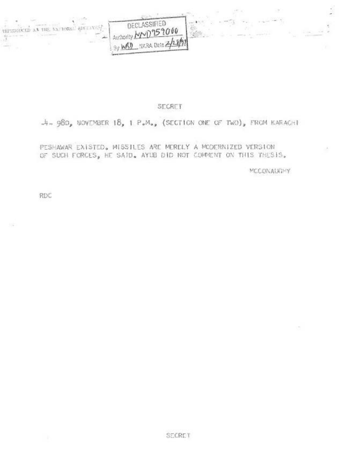

## SECRET

# $-4-980$ , NOVEMBER 18, 1 P.M., (SECTION ONE OF TWO), FROM KARACHI

# PESHAWAR EXISTED, MISSILES ARE MERELY A MODERNIZED VERSION OF SUCH FORCES, HE SAID. AYUB DID NOT COMMENT ON THIS THESIS,

MCCONAUGHY

RDC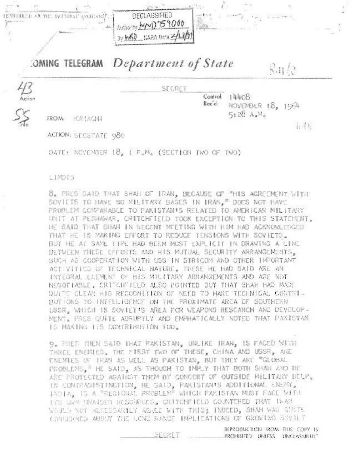

# :OMING TELEGRAM Department of State

SECRET

14408 Control. Rec c: NOVEMBER 18, 1964 5:28 A.M.

 $Rn$ 

 $i_1$  4  $i_1$ 

FROM KARACHI

ACTION: SECSTATE 980

DATE: NOVEMBER 18, 1 F.M. (SECTION TWO OF TWO)

### LIMDIS

43<br><sup>Acio</sup>

8. PRES SAID THAT SHAH OF IRAN, BECAUSE OF "HIS AGREEMENT WITH" SOVIETS TO HAVE NO MILITARY BASES IN IRAN, "DOES NOT HAVE PROBLEM COMPARABLE TO PAKISTAN'S RELATED TO AMERICAN MILITARY UNIT AT PESHAWS, CRITCHFIELD TOOK EXCEPTION TO THIS STATCMENT, HE SAID THAT SHAH IN RECENT MEETING WITH HIM HAD ACKNOWLEDGED THAT HE IS MAKING EFFORT TO REDUCE TENSIONS WITH SOVIETS. BUY HE AT SAME THRE HAD BEEN MOST EXPLICIT IN DRAWING A LINE. SETWEEN THESE EFFORTS AND HIS MUTUAL SECURITY ARRANGEMENTS. SUCH AS COOPERATION WITH USS IN STRICOM AND CTHER INPORTANT ACTIVITIES OF TECHNICAL NATURE. THESE HE HAD SAID ARE AN INTEGRAL ELEMENT OF HIS MILITARY ARRANGEMENTS AND ARE NOT NEGOTIABLE. CRITCHFIELD ALSO POINTED OUT THAT SHAH HAD MAST QUITE CLEAR HIS RECOGNITION OF NEED TO MAKE TECHNICAL CONTEI-BUTTONS TO INTELLIGENCE ON THE PROXIMATE AREA OF SOUTHERN USSR. WHICH IS SOVIET'S AREA FOR WEAPONS RESEARCH AND DEVELOP-MENT. PRES QUITE ABRUPTLY AND EMPHATICALLY NOTED THAT PAKISTAN IS MAKING ITS CONTRIBUTION TOO.

9. FRED THEN SAID THAT PAKISTAN, UNLIKE IRAN, IS FACED MITH THREE ENEMIES. THE FIRST TWO OF THESE, CHINA AND USSR, ARE ENEMIES OF TRAN AS WELL AS PAKISTAN, BUT THEY ARE "GLOBAL PROBLEMS.<sup>#</sup> HE SAID, AS THOUGH TO IMPLY THAT BOTH SHAH AND HE ARE PROTECTED AGAINST THEM BY CONCERT OF OUTSIDE MILITARY HELP. IN CONTRADISTINGTION, HE SAID, PAKISTAN'S ADDITIONAL ENEMY, INDIA, IS A "REGIONAL PROBLEM" WHICH PAKISTAN MUST FACE WITH INS CAN INACTED RESOURCES, CRITCHFIELD COUNTERED THAT THAN WOULD NOT RECESSERILY AGREE WITH TRIST INDEED, SHAH WAS QUITE CONCENTLY ABOUT THE LONG RANGE INFILIOATIONS OF GROWING SOVIET

> REPRODUCTION TROM THIS COPY IS PROHIBITED UNLESS UNICLASSIFIED"